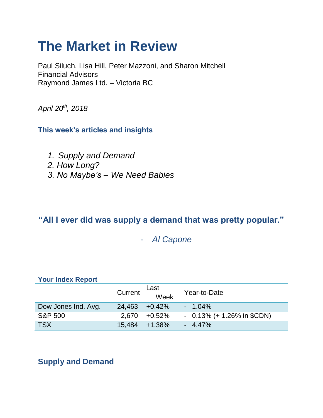# **The Market in Review**

Paul Siluch, Lisa Hill, Peter Mazzoni, and Sharon Mitchell Financial Advisors Raymond James Ltd. – Victoria BC

*April 20th, 2018*

**This week's articles and insights**

- *1. Supply and Demand*
- *2. How Long?*
- *3. No Maybe's – We Need Babies*

# **"All I ever did was supply a demand that was pretty popular."**

- *Al Capone*

### **Your Index Report**

|                     | Current | Last<br>Week      | Year-to-Date                 |
|---------------------|---------|-------------------|------------------------------|
| Dow Jones Ind. Avg. | 24.463  | $+0.42\%$         | $-1.04\%$                    |
| <b>S&amp;P 500</b>  | 2.670   | +0.52%            | $-0.13\%$ (+ 1.26% in \$CDN) |
| <b>TSX</b>          |         | $15.484 + 1.38\%$ | $-4.47\%$                    |

**Supply and Demand**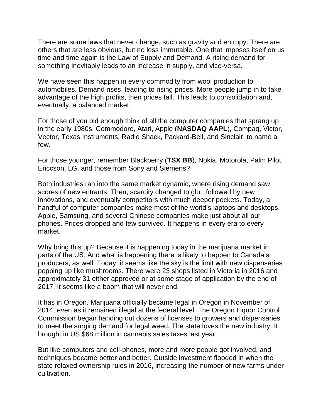There are some laws that never change, such as gravity and entropy. There are others that are less obvious, but no less immutable. One that imposes itself on us time and time again is the Law of Supply and Demand. A rising demand for something inevitably leads to an increase in supply, and vice-versa.

We have seen this happen in every commodity from wool production to automobiles. Demand rises, leading to rising prices. More people jump in to take advantage of the high profits, then prices fall. This leads to consolidation and, eventually, a balanced market.

For those of you old enough think of all the computer companies that sprang up in the early 1980s. Commodore, Atari, Apple (**NASDAQ AAPL**), Compaq, Victor, Vector, Texas Instruments, Radio Shack, Packard-Bell, and Sinclair, to name a few.

For those younger, remember Blackberry (**TSX BB**), Nokia, Motorola, Palm Pilot, Ericcson, LG, and those from Sony and Siemens?

Both industries ran into the same market dynamic, where rising demand saw scores of new entrants. Then, scarcity changed to glut, followed by new innovations, and eventually competitors with much deeper pockets. Today, a handful of computer companies make most of the world's laptops and desktops. Apple, Samsung, and several Chinese companies make just about all our phones. Prices dropped and few survived. It happens in every era to every market.

Why bring this up? Because it is happening today in the marijuana market in parts of the US. And what is happening there is likely to happen to Canada's producers, as well. Today, it seems like the sky is the limit with new dispensaries popping up like mushrooms. There were 23 shops listed in Victoria in 2016 and approximately 31 either approved or at some stage of application by the end of 2017. It seems like a boom that will never end.

It has in Oregon. Marijuana officially became legal in Oregon in November of 2014, even as it remained illegal at the federal level. The Oregon Liquor Control Commission began handing out dozens of licenses to growers and dispensaries to meet the surging demand for legal weed. The state loves the new industry. It brought in US \$68 million in cannabis sales taxes last year.

But like computers and cell-phones, more and more people got involved, and techniques became better and better. Outside investment flooded in when the state relaxed ownership rules in 2016, increasing the number of new farms under cultivation.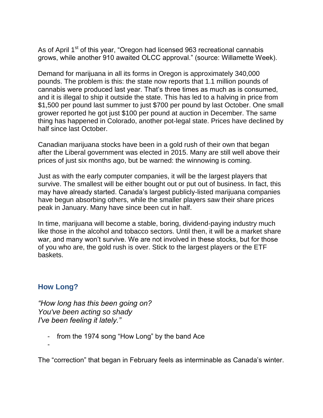As of April 1<sup>st</sup> of this year, "Oregon had licensed 963 recreational cannabis grows, while another 910 awaited OLCC approval." (source: Willamette Week).

Demand for marijuana in all its forms in Oregon is approximately 340,000 pounds. The problem is this: the state now reports that 1.1 million pounds of cannabis were produced last year. That's three times as much as is consumed, and it is illegal to ship it outside the state. This has led to a halving in price from \$1,500 per pound last summer to just \$700 per pound by last October. One small grower reported he got just \$100 per pound at auction in December. The same thing has happened in Colorado, another pot-legal state. Prices have declined by half since last October.

Canadian marijuana stocks have been in a gold rush of their own that began after the Liberal government was elected in 2015. Many are still well above their prices of just six months ago, but be warned: the winnowing is coming.

Just as with the early computer companies, it will be the largest players that survive. The smallest will be either bought out or put out of business. In fact, this may have already started. Canada's largest publicly-listed marijuana companies have begun absorbing others, while the smaller players saw their share prices peak in January. Many have since been cut in half.

In time, marijuana will become a stable, boring, dividend-paying industry much like those in the alcohol and tobacco sectors. Until then, it will be a market share war, and many won't survive. We are not involved in these stocks, but for those of you who are, the gold rush is over. Stick to the largest players or the ETF baskets.

## **How Long?**

*"How long has this been going on? You've been acting so shady I've been feeling it lately."*

- from the 1974 song "How Long" by the band Ace

-

The "correction" that began in February feels as interminable as Canada's winter.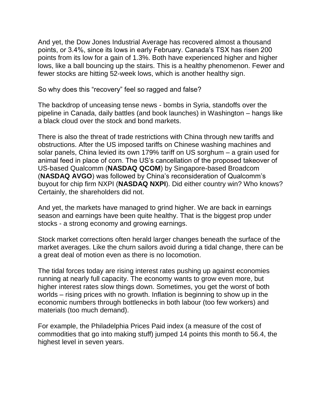And yet, the Dow Jones Industrial Average has recovered almost a thousand points, or 3.4%, since its lows in early February. Canada's TSX has risen 200 points from its low for a gain of 1.3%. Both have experienced higher and higher lows, like a ball bouncing up the stairs. This is a healthy phenomenon. Fewer and fewer stocks are hitting 52-week lows, which is another healthy sign.

So why does this "recovery" feel so ragged and false?

The backdrop of unceasing tense news - bombs in Syria, standoffs over the pipeline in Canada, daily battles (and book launches) in Washington – hangs like a black cloud over the stock and bond markets.

There is also the threat of trade restrictions with China through new tariffs and obstructions. After the US imposed tariffs on Chinese washing machines and solar panels, China levied its own 179% tariff on US sorghum – a grain used for animal feed in place of corn. The US's cancellation of the proposed takeover of US-based Qualcomm (**NASDAQ QCOM**) by Singapore-based Broadcom (**NASDAQ AVGO**) was followed by China's reconsideration of Qualcomm's buyout for chip firm NXPI (**NASDAQ NXPI**). Did either country win? Who knows? Certainly, the shareholders did not.

And yet, the markets have managed to grind higher. We are back in earnings season and earnings have been quite healthy. That is the biggest prop under stocks - a strong economy and growing earnings.

Stock market corrections often herald larger changes beneath the surface of the market averages. Like the churn sailors avoid during a tidal change, there can be a great deal of motion even as there is no locomotion.

The tidal forces today are rising interest rates pushing up against economies running at nearly full capacity. The economy wants to grow even more, but higher interest rates slow things down. Sometimes, you get the worst of both worlds – rising prices with no growth. Inflation is beginning to show up in the economic numbers through bottlenecks in both labour (too few workers) and materials (too much demand).

For example, the Philadelphia Prices Paid index (a measure of the cost of commodities that go into making stuff) jumped 14 points this month to 56.4, the highest level in seven years.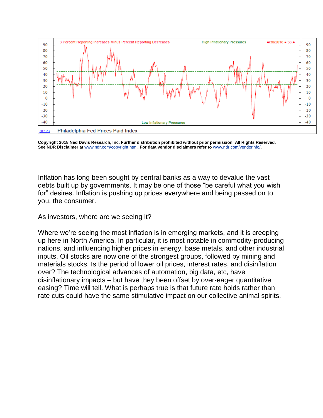

**Copyright 2018 Ned Davis Research, Inc. Further distribution prohibited without prior permission. All Rights Reserved. See NDR Disclaimer at** [www.ndr.com/copyright.html](https://urldefense.proofpoint.com/v2/url?u=http-3A__www.ndr.com_copyright.html&d=DwMF-g&c=K3dQCUGiI1B95NJ6cl3GoyhMW2dvBOfimZA-83UXll0&r=_6MBBSGYsFznIBwslhTiqBKEz4pHUCTd_9tbh_EpUMY&m=WZQdfMToCyYkegv0OieLKNb3b2uMb7-dKBw-_BLP8_E&s=jjcA1jHGVnvOWdA5oySaQE2scLBuzJ5fzjHVxZ9mM8c&e=)**. For data vendor disclaimers refer to** [www.ndr.com/vendorinfo/](https://urldefense.proofpoint.com/v2/url?u=http-3A__www.ndr.com_vendorinfo_&d=DwMF-g&c=K3dQCUGiI1B95NJ6cl3GoyhMW2dvBOfimZA-83UXll0&r=_6MBBSGYsFznIBwslhTiqBKEz4pHUCTd_9tbh_EpUMY&m=WZQdfMToCyYkegv0OieLKNb3b2uMb7-dKBw-_BLP8_E&s=As4R73Nn4x287ZxVQND9yu_fICqUv_kiUgSqvCqClxA&e=)**.**

Inflation has long been sought by central banks as a way to devalue the vast debts built up by governments. It may be one of those "be careful what you wish for" desires. Inflation is pushing up prices everywhere and being passed on to you, the consumer.

As investors, where are we seeing it?

Where we're seeing the most inflation is in emerging markets, and it is creeping up here in North America. In particular, it is most notable in commodity-producing nations, and influencing higher prices in energy, base metals, and other industrial inputs. Oil stocks are now one of the strongest groups, followed by mining and materials stocks. Is the period of lower oil prices, interest rates, and disinflation over? The technological advances of automation, big data, etc, have disinflationary impacts – but have they been offset by over-eager quantitative easing? Time will tell. What is perhaps true is that future rate holds rather than rate cuts could have the same stimulative impact on our collective animal spirits.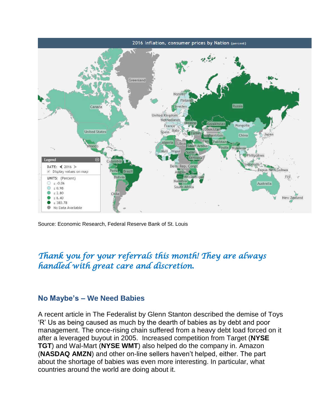

Source: Economic Research, Federal Reserve Bank of St. Louis

## *Thank you for your referrals this month! They are always handled with great care and discretion.*

### **No Maybe's – We Need Babies**

A recent article in The Federalist by Glenn Stanton described the demise of Toys 'R' Us as being caused as much by the dearth of babies as by debt and poor management. The once-rising chain suffered from a heavy debt load forced on it after a leveraged buyout in 2005. Increased competition from Target (**NYSE TGT**) and Wal-Mart (**NYSE WMT**) also helped do the company in. Amazon (**NASDAQ AMZN**) and other on-line sellers haven't helped, either. The part about the shortage of babies was even more interesting. In particular, what countries around the world are doing about it.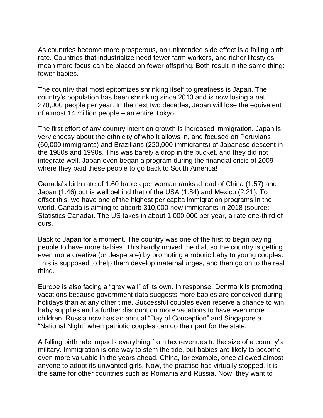As countries become more prosperous, an unintended side effect is a falling birth rate. Countries that industrialize need fewer farm workers, and richer lifestyles mean more focus can be placed on fewer offspring. Both result in the same thing: fewer babies.

The country that most epitomizes shrinking itself to greatness is Japan. The country's population has been shrinking since 2010 and is now losing a net 270,000 people per year. In the next two decades, Japan will lose the equivalent of almost 14 million people – an entire Tokyo.

The first effort of any country intent on growth is increased immigration. Japan is very choosy about the ethnicity of who it allows in, and focused on Peruvians (60,000 immigrants) and Brazilians (220,000 immigrants) of Japanese descent in the 1980s and 1990s. This was barely a drop in the bucket, and they did not integrate well. Japan even began a program during the financial crisis of 2009 where they paid these people to go back to South America!

Canada's birth rate of 1.60 babies per woman ranks ahead of China (1.57) and Japan (1.46) but is well behind that of the USA (1.84) and Mexico (2.21). To offset this, we have one of the highest per capita immigration programs in the world. Canada is aiming to absorb 310,000 new immigrants in 2018 (source: Statistics Canada). The US takes in about 1,000,000 per year, a rate one-third of ours.

Back to Japan for a moment. The country was one of the first to begin paying people to have more babies. This hardly moved the dial, so the country is getting even more creative (or desperate) by promoting a robotic baby to young couples. This is supposed to help them develop maternal urges, and then go on to the real thing.

Europe is also facing a "grey wall" of its own. In response, Denmark is promoting vacations because government data suggests more babies are conceived during holidays than at any other time. Successful couples even receive a chance to win baby supplies and a further discount on more vacations to have even more children. Russia now has an annual "Day of Conception" and Singapore a "National Night" when patriotic couples can do their part for the state.

A falling birth rate impacts everything from tax revenues to the size of a country's military. Immigration is one way to stem the tide, but babies are likely to become even more valuable in the years ahead. China, for example, once allowed almost anyone to adopt its unwanted girls. Now, the practise has virtually stopped. It is the same for other countries such as Romania and Russia. Now, they want to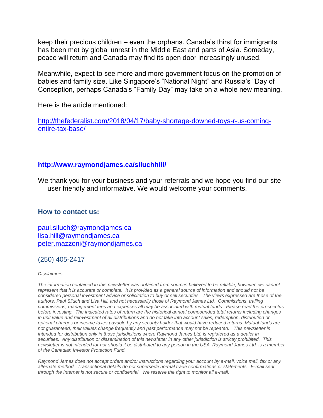keep their precious children – even the orphans. Canada's thirst for immigrants has been met by global unrest in the Middle East and parts of Asia. Someday, peace will return and Canada may find its open door increasingly unused.

Meanwhile, expect to see more and more government focus on the promotion of babies and family size. Like Singapore's "National Night" and Russia's "Day of Conception, perhaps Canada's "Family Day" may take on a whole new meaning.

Here is the article mentioned:

[http://thefederalist.com/2018/04/17/baby-shortage-downed-toys-r-us-coming](http://thefederalist.com/2018/04/17/baby-shortage-downed-toys-r-us-coming-entire-tax-base/)[entire-tax-base/](http://thefederalist.com/2018/04/17/baby-shortage-downed-toys-r-us-coming-entire-tax-base/)

#### **<http://www.raymondjames.ca/siluchhill/>**

We thank you for your business and your referrals and we hope you find our site user friendly and informative. We would welcome your comments.

#### **How to contact us:**

[paul.siluch@raymondjames.ca](https://owa-kel.raymondjames.ca/owa/redir.aspx?SURL=z0BxOCXDlQ-Aad1f_a9igaARxm5Rd1VXE7UcmD4mZ3IZiacj7DPTCG0AYQBpAGwAdABvADoAcABhAHUAbAAuAHMAaQBsAHUAYwBoAEAAcgBhAHkAbQBvAG4AZABqAGEAbQBlAHMALgBjAGEA&URL=mailto%3apaul.siluch%40raymondjames.ca) [lisa.hill@raymondjames.ca](https://owa-kel.raymondjames.ca/owa/redir.aspx?SURL=glaBgdTdxPMFpiw4eumg-PzZXpo9vJyObrXLs1TKtIAZiacj7DPTCG0AYQBpAGwAdABvADoAbABpAHMAYQAuAGgAaQBsAGwAQAByAGEAeQBtAG8AbgBkAGoAYQBtAGUAcwAuAGMAYQA.&URL=mailto%3alisa.hill%40raymondjames.ca) [peter.mazzoni@raymondjames.ca](https://owa-kel.raymondjames.ca/owa/redir.aspx?SURL=3c7mDL9-cZxYXt7CvkOu20QVFy1WCaDQxUZ3BQE6vecZiacj7DPTCG0AYQBpAGwAdABvADoAcABlAHQAZQByAC4AbQBhAHoAegBvAG4AaQBAAHIAYQB5AG0AbwBuAGQAagBhAG0AZQBzAC4AYwBhAA..&URL=mailto%3apeter.mazzoni%40raymondjames.ca)

### (250) 405-2417

#### *Disclaimers*

*[The information contained in this newsletter was obtained from sources believed to be](https://owa-kel.raymondjames.ca/owa/redir.aspx?SURL=z0BxOCXDlQ-Aad1f_a9igaARxm5Rd1VXE7UcmD4mZ3IZiacj7DPTCG0AYQBpAGwAdABvADoAcABhAHUAbAAuAHMAaQBsAHUAYwBoAEAAcgBhAHkAbQBvAG4AZABqAGEAbQBlAHMALgBjAGEA&URL=mailto%3apaul.siluch%40raymondjames.ca) reliable, however, we cannot represent that it is accurate or complete. [It is provided as a general source of information and should not be](https://owa-kel.raymondjames.ca/owa/redir.aspx?SURL=z0BxOCXDlQ-Aad1f_a9igaARxm5Rd1VXE7UcmD4mZ3IZiacj7DPTCG0AYQBpAGwAdABvADoAcABhAHUAbAAuAHMAaQBsAHUAYwBoAEAAcgBhAHkAbQBvAG4AZABqAGEAbQBlAHMALgBjAGEA&URL=mailto%3apaul.siluch%40raymondjames.ca)  [considered personal investment advice or solicitation to buy or sell securities.](https://owa-kel.raymondjames.ca/owa/redir.aspx?SURL=z0BxOCXDlQ-Aad1f_a9igaARxm5Rd1VXE7UcmD4mZ3IZiacj7DPTCG0AYQBpAGwAdABvADoAcABhAHUAbAAuAHMAaQBsAHUAYwBoAEAAcgBhAHkAbQBvAG4AZABqAGEAbQBlAHMALgBjAGEA&URL=mailto%3apaul.siluch%40raymondjames.ca) The views expressed are those of the [authors, Paul Siluch and Lisa Hill, and not necessarily those of Raymond James Ltd.](https://owa-kel.raymondjames.ca/owa/redir.aspx?SURL=z0BxOCXDlQ-Aad1f_a9igaARxm5Rd1VXE7UcmD4mZ3IZiacj7DPTCG0AYQBpAGwAdABvADoAcABhAHUAbAAuAHMAaQBsAHUAYwBoAEAAcgBhAHkAbQBvAG4AZABqAGEAbQBlAHMALgBjAGEA&URL=mailto%3apaul.siluch%40raymondjames.ca) Commissions, trailing [commissions, management fees and expenses all may be associated with mutual funds.](https://owa-kel.raymondjames.ca/owa/redir.aspx?SURL=z0BxOCXDlQ-Aad1f_a9igaARxm5Rd1VXE7UcmD4mZ3IZiacj7DPTCG0AYQBpAGwAdABvADoAcABhAHUAbAAuAHMAaQBsAHUAYwBoAEAAcgBhAHkAbQBvAG4AZABqAGEAbQBlAHMALgBjAGEA&URL=mailto%3apaul.siluch%40raymondjames.ca) Please read the prospectus before investing. [The indicated rates of return are the historical annual compounded total returns including changes](https://owa-kel.raymondjames.ca/owa/redir.aspx?SURL=z0BxOCXDlQ-Aad1f_a9igaARxm5Rd1VXE7UcmD4mZ3IZiacj7DPTCG0AYQBpAGwAdABvADoAcABhAHUAbAAuAHMAaQBsAHUAYwBoAEAAcgBhAHkAbQBvAG4AZABqAGEAbQBlAHMALgBjAGEA&URL=mailto%3apaul.siluch%40raymondjames.ca)  [in unit value and reinvestment of all distributions and do not take into account sales, redemption, distribution or](https://owa-kel.raymondjames.ca/owa/redir.aspx?SURL=z0BxOCXDlQ-Aad1f_a9igaARxm5Rd1VXE7UcmD4mZ3IZiacj7DPTCG0AYQBpAGwAdABvADoAcABhAHUAbAAuAHMAaQBsAHUAYwBoAEAAcgBhAHkAbQBvAG4AZABqAGEAbQBlAHMALgBjAGEA&URL=mailto%3apaul.siluch%40raymondjames.ca)  [optional charges or income taxes payable by any security holder that would have reduced returns. Mutual funds are](https://owa-kel.raymondjames.ca/owa/redir.aspx?SURL=z0BxOCXDlQ-Aad1f_a9igaARxm5Rd1VXE7UcmD4mZ3IZiacj7DPTCG0AYQBpAGwAdABvADoAcABhAHUAbAAuAHMAaQBsAHUAYwBoAEAAcgBhAHkAbQBvAG4AZABqAGEAbQBlAHMALgBjAGEA&URL=mailto%3apaul.siluch%40raymondjames.ca)  [not guaranteed, their values change frequently and past performance may not be repeated.](https://owa-kel.raymondjames.ca/owa/redir.aspx?SURL=z0BxOCXDlQ-Aad1f_a9igaARxm5Rd1VXE7UcmD4mZ3IZiacj7DPTCG0AYQBpAGwAdABvADoAcABhAHUAbAAuAHMAaQBsAHUAYwBoAEAAcgBhAHkAbQBvAG4AZABqAGEAbQBlAHMALgBjAGEA&URL=mailto%3apaul.siluch%40raymondjames.ca) This newsletter is [intended for distribution only in those jurisdictions where Raymond James Ltd. is registered as a dealer in](https://owa-kel.raymondjames.ca/owa/redir.aspx?SURL=z0BxOCXDlQ-Aad1f_a9igaARxm5Rd1VXE7UcmD4mZ3IZiacj7DPTCG0AYQBpAGwAdABvADoAcABhAHUAbAAuAHMAaQBsAHUAYwBoAEAAcgBhAHkAbQBvAG4AZABqAGEAbQBlAHMALgBjAGEA&URL=mailto%3apaul.siluch%40raymondjames.ca)  securities. [Any distribution or dissemination of this newsletter in any other jurisdiction is strictly prohibited.](https://owa-kel.raymondjames.ca/owa/redir.aspx?SURL=z0BxOCXDlQ-Aad1f_a9igaARxm5Rd1VXE7UcmD4mZ3IZiacj7DPTCG0AYQBpAGwAdABvADoAcABhAHUAbAAuAHMAaQBsAHUAYwBoAEAAcgBhAHkAbQBvAG4AZABqAGEAbQBlAHMALgBjAGEA&URL=mailto%3apaul.siluch%40raymondjames.ca) This [newsletter is not intended for nor should it be distributed to any person in the USA. Raymond James Ltd. is a member](https://owa-kel.raymondjames.ca/owa/redir.aspx?SURL=z0BxOCXDlQ-Aad1f_a9igaARxm5Rd1VXE7UcmD4mZ3IZiacj7DPTCG0AYQBpAGwAdABvADoAcABhAHUAbAAuAHMAaQBsAHUAYwBoAEAAcgBhAHkAbQBvAG4AZABqAGEAbQBlAHMALgBjAGEA&URL=mailto%3apaul.siluch%40raymondjames.ca)  [of the Canadian Investor Protection Fund.](https://owa-kel.raymondjames.ca/owa/redir.aspx?SURL=z0BxOCXDlQ-Aad1f_a9igaARxm5Rd1VXE7UcmD4mZ3IZiacj7DPTCG0AYQBpAGwAdABvADoAcABhAHUAbAAuAHMAaQBsAHUAYwBoAEAAcgBhAHkAbQBvAG4AZABqAGEAbQBlAHMALgBjAGEA&URL=mailto%3apaul.siluch%40raymondjames.ca)* 

*Raymond James [does not accept orders and/or instructions regarding your account by e-mail, voice mail, fax or any](https://owa-kel.raymondjames.ca/owa/redir.aspx?SURL=z0BxOCXDlQ-Aad1f_a9igaARxm5Rd1VXE7UcmD4mZ3IZiacj7DPTCG0AYQBpAGwAdABvADoAcABhAHUAbAAuAHMAaQBsAHUAYwBoAEAAcgBhAHkAbQBvAG4AZABqAGEAbQBlAHMALgBjAGEA&URL=mailto%3apaul.siluch%40raymondjames.ca)  alternate method. [Transactional details do not supersede normal trade confirmations or statements.](https://owa-kel.raymondjames.ca/owa/redir.aspx?SURL=z0BxOCXDlQ-Aad1f_a9igaARxm5Rd1VXE7UcmD4mZ3IZiacj7DPTCG0AYQBpAGwAdABvADoAcABhAHUAbAAuAHMAaQBsAHUAYwBoAEAAcgBhAHkAbQBvAG4AZABqAGEAbQBlAHMALgBjAGEA&URL=mailto%3apaul.siluch%40raymondjames.ca) E-mail sent [through the Internet is not secure or confidential.](https://owa-kel.raymondjames.ca/owa/redir.aspx?SURL=z0BxOCXDlQ-Aad1f_a9igaARxm5Rd1VXE7UcmD4mZ3IZiacj7DPTCG0AYQBpAGwAdABvADoAcABhAHUAbAAuAHMAaQBsAHUAYwBoAEAAcgBhAHkAbQBvAG4AZABqAGEAbQBlAHMALgBjAGEA&URL=mailto%3apaul.siluch%40raymondjames.ca) We reserve the right to monitor all e-mail.*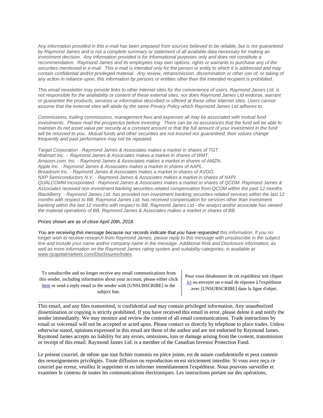*[Any information provided in this e-mail has been prepared from sources believed to be reliable, but is not guaranteed](https://owa-kel.raymondjames.ca/owa/redir.aspx?SURL=z0BxOCXDlQ-Aad1f_a9igaARxm5Rd1VXE7UcmD4mZ3IZiacj7DPTCG0AYQBpAGwAdABvADoAcABhAHUAbAAuAHMAaQBsAHUAYwBoAEAAcgBhAHkAbQBvAG4AZABqAGEAbQBlAHMALgBjAGEA&URL=mailto%3apaul.siluch%40raymondjames.ca)  by Raymond James [and is not a complete summary or statement of all available data necessary for making an](https://owa-kel.raymondjames.ca/owa/redir.aspx?SURL=z0BxOCXDlQ-Aad1f_a9igaARxm5Rd1VXE7UcmD4mZ3IZiacj7DPTCG0AYQBpAGwAdABvADoAcABhAHUAbAAuAHMAaQBsAHUAYwBoAEAAcgBhAHkAbQBvAG4AZABqAGEAbQBlAHMALgBjAGEA&URL=mailto%3apaul.siluch%40raymondjames.ca)  investment decision. [Any information provided is for informational purposes only and does not constitute a](https://owa-kel.raymondjames.ca/owa/redir.aspx?SURL=z0BxOCXDlQ-Aad1f_a9igaARxm5Rd1VXE7UcmD4mZ3IZiacj7DPTCG0AYQBpAGwAdABvADoAcABhAHUAbAAuAHMAaQBsAHUAYwBoAEAAcgBhAHkAbQBvAG4AZABqAGEAbQBlAHMALgBjAGEA&URL=mailto%3apaul.siluch%40raymondjames.ca)  recommendation. Raymond James [and its employees may own options, rights or warrants to purchase any of the](https://owa-kel.raymondjames.ca/owa/redir.aspx?SURL=z0BxOCXDlQ-Aad1f_a9igaARxm5Rd1VXE7UcmD4mZ3IZiacj7DPTCG0AYQBpAGwAdABvADoAcABhAHUAbAAuAHMAaQBsAHUAYwBoAEAAcgBhAHkAbQBvAG4AZABqAGEAbQBlAHMALgBjAGEA&URL=mailto%3apaul.siluch%40raymondjames.ca)  securities mentioned in e-mail. [This e-mail is intended only for the person or entity to which it is addressed and may](https://owa-kel.raymondjames.ca/owa/redir.aspx?SURL=z0BxOCXDlQ-Aad1f_a9igaARxm5Rd1VXE7UcmD4mZ3IZiacj7DPTCG0AYQBpAGwAdABvADoAcABhAHUAbAAuAHMAaQBsAHUAYwBoAEAAcgBhAHkAbQBvAG4AZABqAGEAbQBlAHMALgBjAGEA&URL=mailto%3apaul.siluch%40raymondjames.ca)  contain confidential and/or privileged material. [Any review, retransmission, dissemination or other use of, or taking of](https://owa-kel.raymondjames.ca/owa/redir.aspx?SURL=z0BxOCXDlQ-Aad1f_a9igaARxm5Rd1VXE7UcmD4mZ3IZiacj7DPTCG0AYQBpAGwAdABvADoAcABhAHUAbAAuAHMAaQBsAHUAYwBoAEAAcgBhAHkAbQBvAG4AZABqAGEAbQBlAHMALgBjAGEA&URL=mailto%3apaul.siluch%40raymondjames.ca)  [any action in reliance upon, this information by persons or entities other than the intended recipient is prohibited.](https://owa-kel.raymondjames.ca/owa/redir.aspx?SURL=z0BxOCXDlQ-Aad1f_a9igaARxm5Rd1VXE7UcmD4mZ3IZiacj7DPTCG0AYQBpAGwAdABvADoAcABhAHUAbAAuAHMAaQBsAHUAYwBoAEAAcgBhAHkAbQBvAG4AZABqAGEAbQBlAHMALgBjAGEA&URL=mailto%3apaul.siluch%40raymondjames.ca)*

*This email newsletter may provide links to other Internet sites for the convenience of users. Raymond James Ltd. is not responsible for the availability or content of these external sites, nor does Raymond James Ltd endorse, warrant or guarantee the products, services or information described or offered at these other Internet sites. Users cannot assume that the external sites will abide by the same Privacy Policy which Raymond James Ltd adheres to.*

*Commissions, trailing commissions, management fees and expenses all may be associated with mutual fund investments. Please read the prospectus before investing. There can be no assurances that the fund will be able to maintain its net asset value per security at a constant amount or that the full amount of your investment in the fund will be returned to you. Mutual funds and other securities are not insured nor guaranteed, their values change frequently and past performance may not be repeated.*

*Target Corporation - Raymond James & Associates makes a market in shares of TGT. Walmart Inc. - Raymond James & Associates makes a market in shares of WMT. Amazon.com, Inc. - Raymond James & Associates makes a market in shares of AMZN. Apple Inc. - Raymond James & Associates makes a market in shares of AAPL. Broadcom Inc. - Raymond James & Associates makes a market in shares of AVGO. NXP Semiconductors N.V. - Raymond James & Associates makes a market in shares of NXPI. QUALCOMM Incorporated - Raymond James & Associates makes a market in shares of QCOM. Raymond James & Associates received non-investment banking* s*ecurities-related compensation from QCOM within the past 12 months. BlackBerry - Raymond James Ltd. has provided non-investment banking securities-related services within the last 12 months with respect to BB. Raymond James Ltd. has received compensation for services other than investment banking within the last 12 months with respect to BB. Raymond James Ltd - the analyst and/or associate has viewed the material operations of BB. Raymond James & Associates makes a market in shares of BB.*

#### *Prices shown are [as of close April 20th, 2018.](https://owa-kel.raymondjames.ca/owa/redir.aspx?SURL=z0BxOCXDlQ-Aad1f_a9igaARxm5Rd1VXE7UcmD4mZ3IZiacj7DPTCG0AYQBpAGwAdABvADoAcABhAHUAbAAuAHMAaQBsAHUAYwBoAEAAcgBhAHkAbQBvAG4AZABqAGEAbQBlAHMALgBjAGEA&URL=mailto%3apaul.siluch%40raymondjames.ca)*

*You are receiving this message because our records indicate that you have requested this information. If you no longer wish to receive research from Raymond James, please reply to this message with unsubscribe in the subject line and include your name and/or company name in the message. Additional Risk and Disclosure information, as well as more information on the Raymond James rating system and suitability categories, is available at [www.rjcapitalmarkets.com/Disclosures/Index.](https://owa-kel.raymondjames.ca/owa/redir.aspx?SURL=xhOB4gpVfLOskwdkUL9L2f18Fq4IG2rgvMfuIIX7BlwZiacj7DPTCGgAdAB0AHAAOgAvAC8AdwB3AHcALgByAGoAYwBhAHAAaQB0AGEAbABtAGEAcgBrAGUAdABzAC4AYwBvAG0ALwBEAGkAcwBjAGwAbwBzAHUAcgBlAHMALwBJAG4AZABlAHgA&URL=http%3a%2f%2fwww.rjcapitalmarkets.com%2fDisclosures%2fIndex)*

To unsubscribe and no longer receive any email communications from this sender, including information about your account, please either click [here](mailto:paul.siluch@raymondjames.ca?subject=[UNSUBSCRIBE]&body=I%20wish%20to%20unsubscribe%20from%20all%20commercial%20electronic%20messages%20from%20this%20sender.%20%20There%20may%20be%20other%20employees%20or%20agents%20within%20Raymond%20James%20which%20communicate%20with%20me%20electronically%20and%20I%20understand%20that%20I%20may%20unsubscribe%20from%20these%20senders%20separately.) or send a reply email to the sender with [UNSUBSCRIBE] in the subject line.

Pour vous désabonner de cet expéditeur soit cliquer [ici](mailto:paul.siluch@raymondjames.ca?subject=[UNSUBSCRIBE]&body=Je%20souhaite%20me%20désinscrire%20de%20tous%20les%20messages%20électroniques%20commerciaux.%20Il%20peut%20y%20avoir%20d) ou envoyer un e-mail de réponse à l'expéditeur avec [UNSUBSCRIBE] dans la ligne d'objet.

This email, and any files transmitted, is confidential and may contain privileged information. Any unauthorized dissemination or copying is strictly prohibited. If you have received this email in error, please delete it and notify the sender immediately. We may monitor and review the content of all email communications. Trade instructions by email or voicemail will not be accepted or acted upon. Please contact us directly by telephone to place trades. Unless otherwise stated, opinions expressed in this email are those of the author and are not endorsed by Raymond James. Raymond James accepts no liability for any errors, omissions, loss or damage arising from the content, transmission or receipt of this email. Raymond James Ltd. is a member of the Canadian Investor Protection Fund.

\_\_\_\_\_\_\_\_\_\_\_\_\_\_\_\_\_\_\_\_\_\_\_\_\_\_\_\_\_\_\_\_\_\_\_\_\_\_\_\_\_\_\_\_\_\_\_\_\_\_\_\_\_\_\_\_\_\_\_\_\_\_\_\_\_\_\_\_\_\_\_\_\_\_\_\_\_\_\_\_\_\_\_\_

Le présent courriel, de même que tout fichier transmis en pièce jointe, est de nature confidentielle et peut contenir des renseignements privilégiés. Toute diffusion ou reproduction en est strictement interdite. Si vous avez reçu ce courriel par erreur, veuillez le supprimer et en informer immédiatement l'expéditeur. Nous pouvons surveiller et examiner le contenu de toutes les communications électroniques. Les instructions portant sur des opérations,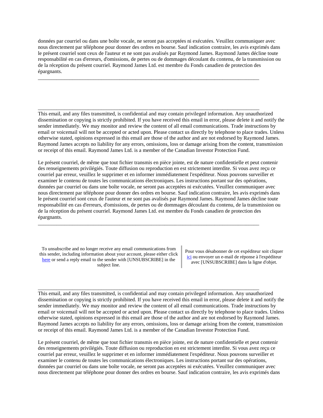données par courriel ou dans une boîte vocale, ne seront pas acceptées ni exécutées. Veuillez communiquer avec nous directement par téléphone pour donner des ordres en bourse. Sauf indication contraire, les avis exprimés dans le présent courriel sont ceux de l'auteur et ne sont pas avalisés par Raymond James. Raymond James décline toute responsabilité en cas d'erreurs, d'omissions, de pertes ou de dommages découlant du contenu, de la transmission ou de la réception du présent courriel. Raymond James Ltd. est membre du Fonds canadien de protection des épargnants.

\_\_\_\_\_\_\_\_\_\_\_\_\_\_\_\_\_\_\_\_\_\_\_\_\_\_\_\_\_\_\_\_\_\_\_\_\_\_\_\_\_\_\_\_\_\_\_\_\_\_\_\_\_\_\_\_\_\_\_\_\_\_\_\_\_\_\_\_\_\_\_\_\_\_\_\_\_\_\_\_\_\_\_\_

\_\_\_\_\_\_\_\_\_\_\_\_\_\_\_\_\_\_\_\_\_\_\_\_\_\_\_\_\_\_\_\_\_\_\_\_\_\_\_\_\_\_\_\_\_\_\_\_\_\_\_\_\_\_\_\_\_\_\_\_\_\_\_\_\_\_\_\_\_\_\_\_\_\_\_\_\_\_\_\_\_\_\_\_

This email, and any files transmitted, is confidential and may contain privileged information. Any unauthorized dissemination or copying is strictly prohibited. If you have received this email in error, please delete it and notify the sender immediately. We may monitor and review the content of all email communications. Trade instructions by email or voicemail will not be accepted or acted upon. Please contact us directly by telephone to place trades. Unless otherwise stated, opinions expressed in this email are those of the author and are not endorsed by Raymond James. Raymond James accepts no liability for any errors, omissions, loss or damage arising from the content, transmission or receipt of this email. Raymond James Ltd. is a member of the Canadian Investor Protection Fund.

Le présent courriel, de même que tout fichier transmis en pièce jointe, est de nature confidentielle et peut contenir des renseignements privilégiés. Toute diffusion ou reproduction en est strictement interdite. Si vous avez reçu ce courriel par erreur, veuillez le supprimer et en informer immédiatement l'expéditeur. Nous pouvons surveiller et examiner le contenu de toutes les communications électroniques. Les instructions portant sur des opérations, données par courriel ou dans une boîte vocale, ne seront pas acceptées ni exécutées. Veuillez communiquer avec nous directement par téléphone pour donner des ordres en bourse. Sauf indication contraire, les avis exprimés dans le présent courriel sont ceux de l'auteur et ne sont pas avalisés par Raymond James. Raymond James décline toute responsabilité en cas d'erreurs, d'omissions, de pertes ou de dommages découlant du contenu, de la transmission ou de la réception du présent courriel. Raymond James Ltd. est membre du Fonds canadien de protection des épargnants.

\_\_\_\_\_\_\_\_\_\_\_\_\_\_\_\_\_\_\_\_\_\_\_\_\_\_\_\_\_\_\_\_\_\_\_\_\_\_\_\_\_\_\_\_\_\_\_\_\_\_\_\_\_\_\_\_\_\_\_\_\_\_\_\_\_\_\_\_\_\_\_\_\_\_\_\_\_\_\_\_\_\_\_\_

\_\_\_\_\_\_\_\_\_\_\_\_\_\_\_\_\_\_\_\_\_\_\_\_\_\_\_\_\_\_\_\_\_\_\_\_\_\_\_\_\_\_\_\_\_\_\_\_\_\_\_\_\_\_\_\_\_\_\_\_\_\_\_\_\_\_\_\_\_\_\_\_\_\_\_\_\_\_\_\_\_\_\_\_

To unsubscribe and no longer receive any email communications from this sender, including information about your account, please either click [here](mailto:paul.siluch@raymondjames.ca?subject=[UNSUBSCRIBE]&body=I%20wish%20to%20unsubscribe%20from%20all%20commercial%20electronic%20messages%20from%20this%20sender.%20%20There%20may%20be%20other%20employees%20or%20agents%20within%20Raymond%20James%20which%20communicate%20with%20me%20electronically%20and%20I%20understand%20that%20I%20may%20unsubscribe%20from%20these%20senders%20separately.) or send a reply email to the sender with [UNSUBSCRIBE] in the subject line.

Pour vous désabonner de cet expéditeur soit cliquer [ici](mailto:paul.siluch@raymondjames.ca?subject=[UNSUBSCRIBE]&body=Je%20souhaite%20me%20désinscrire%20de%20tous%20les%20messages%20électroniques%20commerciaux.%20Il%20peut%20y%20avoir%20d) ou envoyer un e-mail de réponse à l'expéditeur avec [UNSUBSCRIBE] dans la ligne d'objet.

This email, and any files transmitted, is confidential and may contain privileged information. Any unauthorized dissemination or copying is strictly prohibited. If you have received this email in error, please delete it and notify the sender immediately. We may monitor and review the content of all email communications. Trade instructions by email or voicemail will not be accepted or acted upon. Please contact us directly by telephone to place trades. Unless otherwise stated, opinions expressed in this email are those of the author and are not endorsed by Raymond James. Raymond James accepts no liability for any errors, omissions, loss or damage arising from the content, transmission or receipt of this email. Raymond James Ltd. is a member of the Canadian Investor Protection Fund.

Le présent courriel, de même que tout fichier transmis en pièce jointe, est de nature confidentielle et peut contenir des renseignements privilégiés. Toute diffusion ou reproduction en est strictement interdite. Si vous avez reçu ce courriel par erreur, veuillez le supprimer et en informer immédiatement l'expéditeur. Nous pouvons surveiller et examiner le contenu de toutes les communications électroniques. Les instructions portant sur des opérations, données par courriel ou dans une boîte vocale, ne seront pas acceptées ni exécutées. Veuillez communiquer avec nous directement par téléphone pour donner des ordres en bourse. Sauf indication contraire, les avis exprimés dans